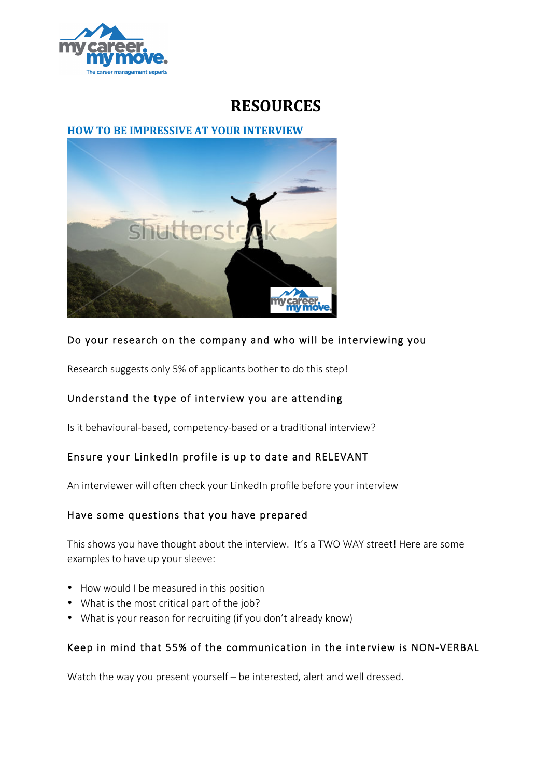

# **RESOURCES**

## **HOW TO BE IMPRESSIVE AT YOUR INTERVIEW**



## Do your research on the company and who will be interviewing you

Research suggests only 5% of applicants bother to do this step!

## Understand the type of interview you are attending

Is it behavioural-based, competency-based or a traditional interview?

## Ensure your LinkedIn profile is up to date and RELEVANT

An interviewer will often check your LinkedIn profile before your interview

#### Have some questions that you have prepared

This shows you have thought about the interview. It's a TWO WAY street! Here are some examples to have up your sleeve:

- How would I be measured in this position
- What is the most critical part of the job?
- What is your reason for recruiting (if you don't already know)

## Keep in mind that 55% of the communication in the interview is NON-VERBAL

Watch the way you present yourself – be interested, alert and well dressed.